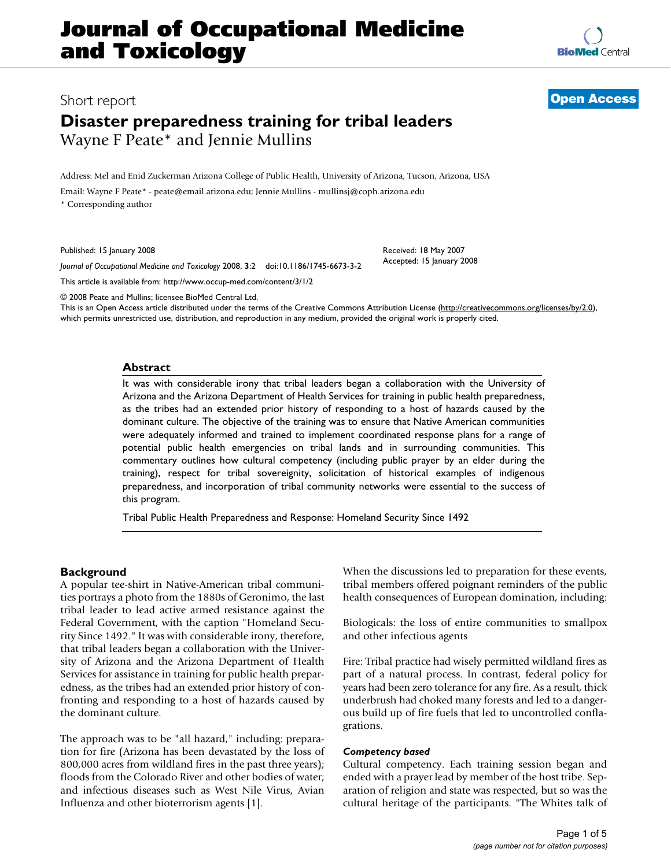# **Journal of Occupational Medicine and Toxicology**

## **Disaster preparedness training for tribal leaders** Wayne F Peate\* and Jennie Mullins

Address: Mel and Enid Zuckerman Arizona College of Public Health, University of Arizona, Tucson, Arizona, USA

Email: Wayne F Peate\* - peate@email.arizona.edu; Jennie Mullins - mullinsj@coph.arizona.edu

\* Corresponding author

Published: 15 January 2008

*Journal of Occupational Medicine and Toxicology* 2008, **3**:2 doi:10.1186/1745-6673-3-2

[This article is available from: http://www.occup-med.com/content/3/1/2](http://www.occup-med.com/content/3/1/2)

© 2008 Peate and Mullins; licensee BioMed Central Ltd.

This is an Open Access article distributed under the terms of the Creative Commons Attribution License [\(http://creativecommons.org/licenses/by/2.0\)](http://creativecommons.org/licenses/by/2.0), which permits unrestricted use, distribution, and reproduction in any medium, provided the original work is properly cited.

#### **Abstract**

It was with considerable irony that tribal leaders began a collaboration with the University of Arizona and the Arizona Department of Health Services for training in public health preparedness, as the tribes had an extended prior history of responding to a host of hazards caused by the dominant culture. The objective of the training was to ensure that Native American communities were adequately informed and trained to implement coordinated response plans for a range of potential public health emergencies on tribal lands and in surrounding communities. This commentary outlines how cultural competency (including public prayer by an elder during the training), respect for tribal sovereignity, solicitation of historical examples of indigenous preparedness, and incorporation of tribal community networks were essential to the success of this program.

Tribal Public Health Preparedness and Response: Homeland Security Since 1492

### **Background**

A popular tee-shirt in Native-American tribal communities portrays a photo from the 1880s of Geronimo, the last tribal leader to lead active armed resistance against the Federal Government, with the caption "Homeland Security Since 1492." It was with considerable irony, therefore, that tribal leaders began a collaboration with the University of Arizona and the Arizona Department of Health Services for assistance in training for public health preparedness, as the tribes had an extended prior history of confronting and responding to a host of hazards caused by the dominant culture.

The approach was to be "all hazard," including: preparation for fire (Arizona has been devastated by the loss of 800,000 acres from wildland fires in the past three years); floods from the Colorado River and other bodies of water; and infectious diseases such as West Nile Virus, Avian Influenza and other bioterrorism agents [1].

When the discussions led to preparation for these events, tribal members offered poignant reminders of the public health consequences of European domination, including:

Biologicals: the loss of entire communities to smallpox and other infectious agents

Fire: Tribal practice had wisely permitted wildland fires as part of a natural process. In contrast, federal policy for years had been zero tolerance for any fire. As a result, thick underbrush had choked many forests and led to a dangerous build up of fire fuels that led to uncontrolled conflagrations.

#### *Competency based*

Cultural competency. Each training session began and ended with a prayer lead by member of the host tribe. Separation of religion and state was respected, but so was the cultural heritage of the participants. "The Whites talk of



## Short report **[Open Access](http://www.biomedcentral.com/info/about/charter/)**

Received: 18 May 2007 Accepted: 15 January 2008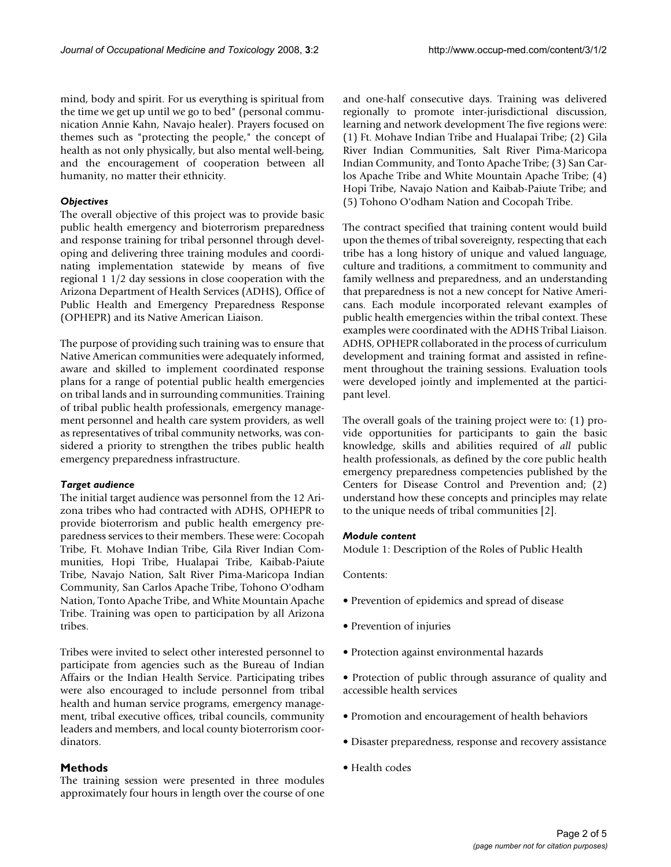mind, body and spirit. For us everything is spiritual from the time we get up until we go to bed" (personal communication Annie Kahn, Navajo healer). Prayers focused on themes such as "protecting the people," the concept of health as not only physically, but also mental well-being, and the encouragement of cooperation between all humanity, no matter their ethnicity.

#### *Objectives*

The overall objective of this project was to provide basic public health emergency and bioterrorism preparedness and response training for tribal personnel through developing and delivering three training modules and coordinating implementation statewide by means of five regional 1 1/2 day sessions in close cooperation with the Arizona Department of Health Services (ADHS), Office of Public Health and Emergency Preparedness Response (OPHEPR) and its Native American Liaison.

The purpose of providing such training was to ensure that Native American communities were adequately informed, aware and skilled to implement coordinated response plans for a range of potential public health emergencies on tribal lands and in surrounding communities. Training of tribal public health professionals, emergency management personnel and health care system providers, as well as representatives of tribal community networks, was considered a priority to strengthen the tribes public health emergency preparedness infrastructure.

#### *Target audience*

The initial target audience was personnel from the 12 Arizona tribes who had contracted with ADHS, OPHEPR to provide bioterrorism and public health emergency preparedness services to their members. These were: Cocopah Tribe, Ft. Mohave Indian Tribe, Gila River Indian Communities, Hopi Tribe, Hualapai Tribe, Kaibab-Paiute Tribe, Navajo Nation, Salt River Pima-Maricopa Indian Community, San Carlos Apache Tribe, Tohono O'odham Nation, Tonto Apache Tribe, and White Mountain Apache Tribe. Training was open to participation by all Arizona tribes.

Tribes were invited to select other interested personnel to participate from agencies such as the Bureau of Indian Affairs or the Indian Health Service. Participating tribes were also encouraged to include personnel from tribal health and human service programs, emergency management, tribal executive offices, tribal councils, community leaders and members, and local county bioterrorism coordinators.

#### **Methods**

The training session were presented in three modules approximately four hours in length over the course of one and one-half consecutive days. Training was delivered regionally to promote inter-jurisdictional discussion, learning and network development The five regions were: (1) Ft. Mohave Indian Tribe and Hualapai Tribe; (2) Gila River Indian Communities, Salt River Pima-Maricopa Indian Community, and Tonto Apache Tribe; (3) San Carlos Apache Tribe and White Mountain Apache Tribe; (4) Hopi Tribe, Navajo Nation and Kaibab-Paiute Tribe; and (5) Tohono O'odham Nation and Cocopah Tribe.

The contract specified that training content would build upon the themes of tribal sovereignty, respecting that each tribe has a long history of unique and valued language, culture and traditions, a commitment to community and family wellness and preparedness, and an understanding that preparedness is not a new concept for Native Americans. Each module incorporated relevant examples of public health emergencies within the tribal context. These examples were coordinated with the ADHS Tribal Liaison. ADHS, OPHEPR collaborated in the process of curriculum development and training format and assisted in refinement throughout the training sessions. Evaluation tools were developed jointly and implemented at the participant level.

The overall goals of the training project were to: (1) provide opportunities for participants to gain the basic knowledge, skills and abilities required of *all* public health professionals, as defined by the core public health emergency preparedness competencies published by the Centers for Disease Control and Prevention and; (2) understand how these concepts and principles may relate to the unique needs of tribal communities [2].

#### *Module content*

Module 1: Description of the Roles of Public Health

Contents:

- Prevention of epidemics and spread of disease
- Prevention of injuries
- Protection against environmental hazards
- Protection of public through assurance of quality and accessible health services
- Promotion and encouragement of health behaviors
- Disaster preparedness, response and recovery assistance
- Health codes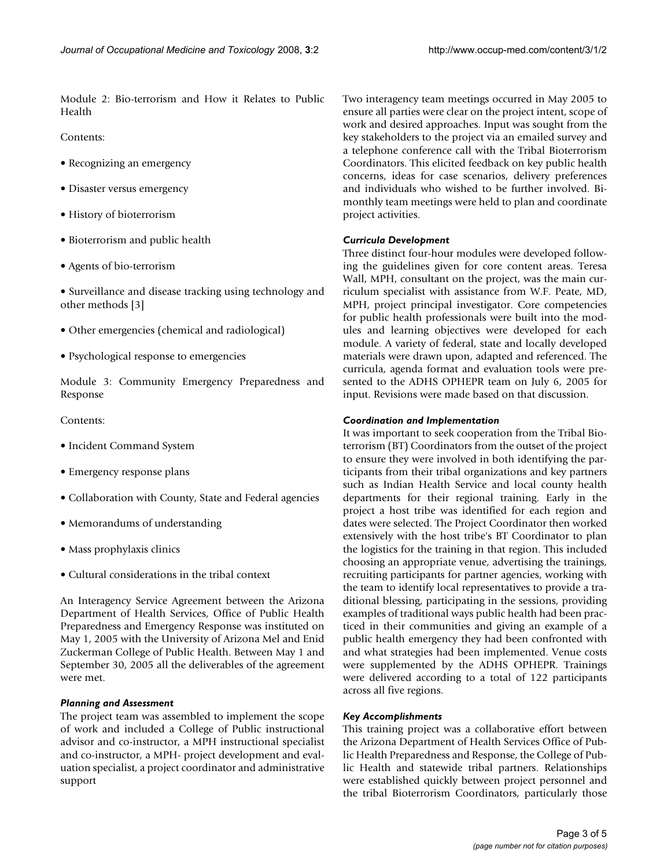Module 2: Bio-terrorism and How it Relates to Public Health

Contents:

- Recognizing an emergency
- Disaster versus emergency
- History of bioterrorism
- Bioterrorism and public health
- Agents of bio-terrorism
- Surveillance and disease tracking using technology and other methods [3]
- Other emergencies (chemical and radiological)
- Psychological response to emergencies

Module 3: Community Emergency Preparedness and Response

Contents:

- Incident Command System
- Emergency response plans
- Collaboration with County, State and Federal agencies
- Memorandums of understanding
- Mass prophylaxis clinics
- Cultural considerations in the tribal context

An Interagency Service Agreement between the Arizona Department of Health Services, Office of Public Health Preparedness and Emergency Response was instituted on May 1, 2005 with the University of Arizona Mel and Enid Zuckerman College of Public Health. Between May 1 and September 30, 2005 all the deliverables of the agreement were met.

#### *Planning and Assessment*

The project team was assembled to implement the scope of work and included a College of Public instructional advisor and co-instructor, a MPH instructional specialist and co-instructor, a MPH- project development and evaluation specialist, a project coordinator and administrative support

Two interagency team meetings occurred in May 2005 to ensure all parties were clear on the project intent, scope of work and desired approaches. Input was sought from the key stakeholders to the project via an emailed survey and a telephone conference call with the Tribal Bioterrorism Coordinators. This elicited feedback on key public health concerns, ideas for case scenarios, delivery preferences and individuals who wished to be further involved. Bimonthly team meetings were held to plan and coordinate project activities.

#### *Curricula Development*

Three distinct four-hour modules were developed following the guidelines given for core content areas. Teresa Wall, MPH, consultant on the project, was the main curriculum specialist with assistance from W.F. Peate, MD, MPH, project principal investigator. Core competencies for public health professionals were built into the modules and learning objectives were developed for each module. A variety of federal, state and locally developed materials were drawn upon, adapted and referenced. The curricula, agenda format and evaluation tools were presented to the ADHS OPHEPR team on July 6, 2005 for input. Revisions were made based on that discussion.

#### *Coordination and Implementation*

It was important to seek cooperation from the Tribal Bioterrorism (BT) Coordinators from the outset of the project to ensure they were involved in both identifying the participants from their tribal organizations and key partners such as Indian Health Service and local county health departments for their regional training. Early in the project a host tribe was identified for each region and dates were selected. The Project Coordinator then worked extensively with the host tribe's BT Coordinator to plan the logistics for the training in that region. This included choosing an appropriate venue, advertising the trainings, recruiting participants for partner agencies, working with the team to identify local representatives to provide a traditional blessing, participating in the sessions, providing examples of traditional ways public health had been practiced in their communities and giving an example of a public health emergency they had been confronted with and what strategies had been implemented. Venue costs were supplemented by the ADHS OPHEPR. Trainings were delivered according to a total of 122 participants across all five regions.

#### *Key Accomplishments*

This training project was a collaborative effort between the Arizona Department of Health Services Office of Public Health Preparedness and Response, the College of Public Health and statewide tribal partners. Relationships were established quickly between project personnel and the tribal Bioterrorism Coordinators, particularly those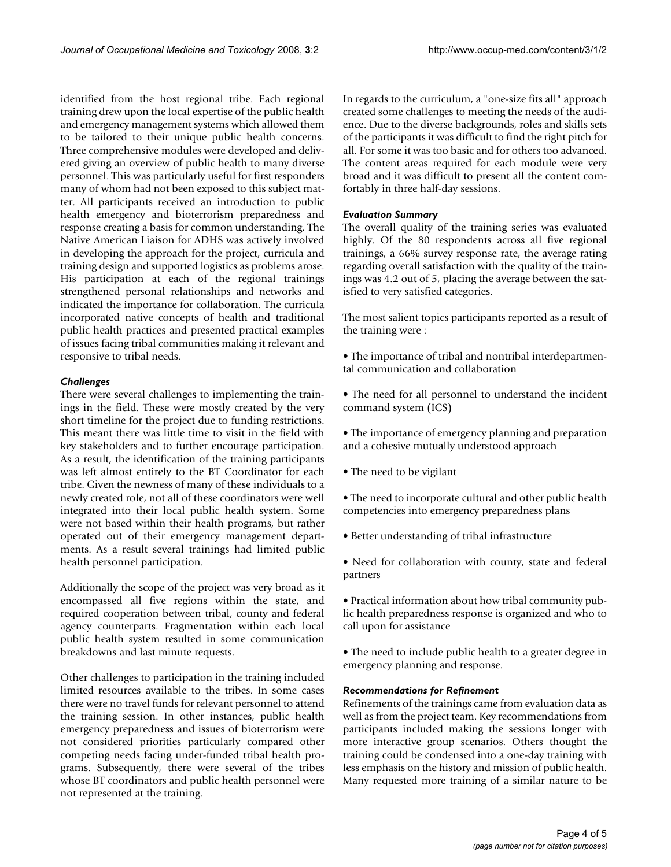identified from the host regional tribe. Each regional training drew upon the local expertise of the public health and emergency management systems which allowed them to be tailored to their unique public health concerns. Three comprehensive modules were developed and delivered giving an overview of public health to many diverse personnel. This was particularly useful for first responders many of whom had not been exposed to this subject matter. All participants received an introduction to public health emergency and bioterrorism preparedness and response creating a basis for common understanding. The Native American Liaison for ADHS was actively involved in developing the approach for the project, curricula and training design and supported logistics as problems arose. His participation at each of the regional trainings strengthened personal relationships and networks and indicated the importance for collaboration. The curricula incorporated native concepts of health and traditional public health practices and presented practical examples of issues facing tribal communities making it relevant and responsive to tribal needs.

#### *Challenges*

There were several challenges to implementing the trainings in the field. These were mostly created by the very short timeline for the project due to funding restrictions. This meant there was little time to visit in the field with key stakeholders and to further encourage participation. As a result, the identification of the training participants was left almost entirely to the BT Coordinator for each tribe. Given the newness of many of these individuals to a newly created role, not all of these coordinators were well integrated into their local public health system. Some were not based within their health programs, but rather operated out of their emergency management departments. As a result several trainings had limited public health personnel participation.

Additionally the scope of the project was very broad as it encompassed all five regions within the state, and required cooperation between tribal, county and federal agency counterparts. Fragmentation within each local public health system resulted in some communication breakdowns and last minute requests.

Other challenges to participation in the training included limited resources available to the tribes. In some cases there were no travel funds for relevant personnel to attend the training session. In other instances, public health emergency preparedness and issues of bioterrorism were not considered priorities particularly compared other competing needs facing under-funded tribal health programs. Subsequently, there were several of the tribes whose BT coordinators and public health personnel were not represented at the training.

In regards to the curriculum, a "one-size fits all" approach created some challenges to meeting the needs of the audience. Due to the diverse backgrounds, roles and skills sets of the participants it was difficult to find the right pitch for all. For some it was too basic and for others too advanced. The content areas required for each module were very broad and it was difficult to present all the content comfortably in three half-day sessions.

#### *Evaluation Summary*

The overall quality of the training series was evaluated highly. Of the 80 respondents across all five regional trainings, a 66% survey response rate, the average rating regarding overall satisfaction with the quality of the trainings was 4.2 out of 5, placing the average between the satisfied to very satisfied categories.

The most salient topics participants reported as a result of the training were :

- The importance of tribal and nontribal interdepartmental communication and collaboration
- The need for all personnel to understand the incident command system (ICS)
- The importance of emergency planning and preparation and a cohesive mutually understood approach
- The need to be vigilant
- The need to incorporate cultural and other public health competencies into emergency preparedness plans
- Better understanding of tribal infrastructure
- Need for collaboration with county, state and federal partners
- Practical information about how tribal community public health preparedness response is organized and who to call upon for assistance
- The need to include public health to a greater degree in emergency planning and response.

#### *Recommendations for Refinement*

Refinements of the trainings came from evaluation data as well as from the project team. Key recommendations from participants included making the sessions longer with more interactive group scenarios. Others thought the training could be condensed into a one-day training with less emphasis on the history and mission of public health. Many requested more training of a similar nature to be